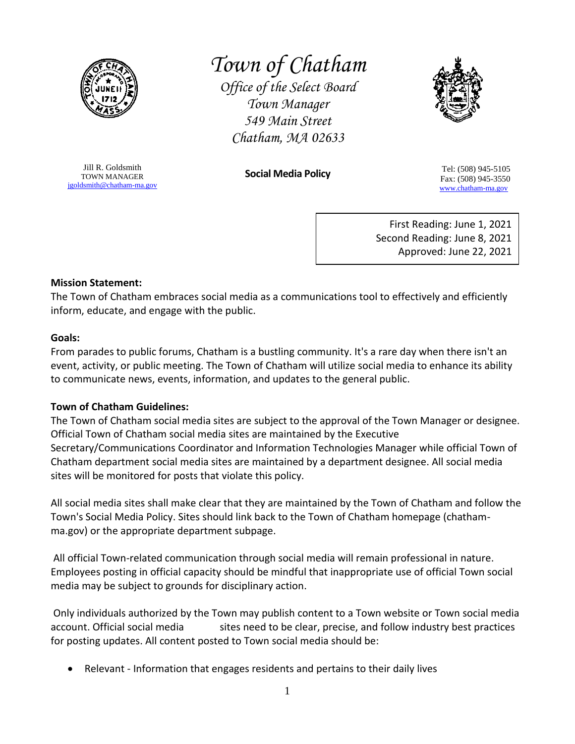

# *Town of Chatham*

*Office of the Select Board Town Manager 549 Main Street Chatham, MA 02633*



Jill R. Goldsmith TOWN MANAGER [jgoldsmith@chatham-ma.gov](mailto:jgoldsmith@chatham-ma.gov)

**Social Media Policy** Tel: (508) 945-5105 Fax: (508) 945-3550 [www.chatham-ma.gov](http://www.chatham-ma.gov/)

> First Reading: June 1, 2021 Second Reading: June 8, 2021 Approved: June 22, 2021

## **Mission Statement:**

The Town of Chatham embraces social media as a communications tool to effectively and efficiently inform, educate, and engage with the public.

## **Goals:**

From parades to public forums, Chatham is a bustling community. It's a rare day when there isn't an event, activity, or public meeting. The Town of Chatham will utilize social media to enhance its ability to communicate news, events, information, and updates to the general public.

## **Town of Chatham Guidelines:**

The Town of Chatham social media sites are subject to the approval of the Town Manager or designee. Official Town of Chatham social media sites are maintained by the Executive Secretary/Communications Coordinator and Information Technologies Manager while official Town of Chatham department social media sites are maintained by a department designee. All social media sites will be monitored for posts that violate this policy.

All social media sites shall make clear that they are maintained by the Town of Chatham and follow the Town's Social Media Policy. Sites should link back to the Town of Chatham homepage (chathamma.gov) or the appropriate department subpage.

All official Town-related communication through social media will remain professional in nature. Employees posting in official capacity should be mindful that inappropriate use of official Town social media may be subject to grounds for disciplinary action.

Only individuals authorized by the Town may publish content to a Town website or Town social media account. Official social media sites need to be clear, precise, and follow industry best practices for posting updates. All content posted to Town social media should be:

• Relevant - Information that engages residents and pertains to their daily lives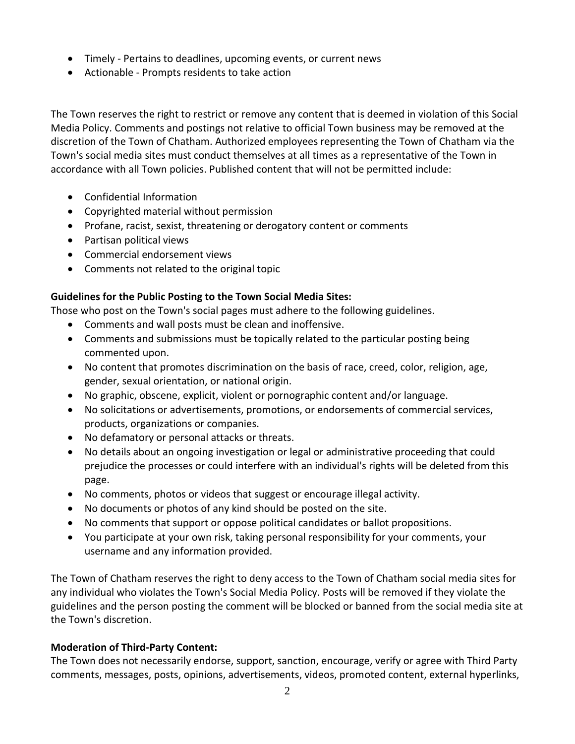- Timely Pertains to deadlines, upcoming events, or current news
- Actionable Prompts residents to take action

The Town reserves the right to restrict or remove any content that is deemed in violation of this Social Media Policy. Comments and postings not relative to official Town business may be removed at the discretion of the Town of Chatham. Authorized employees representing the Town of Chatham via the Town's social media sites must conduct themselves at all times as a representative of the Town in accordance with all Town policies. Published content that will not be permitted include:

- Confidential Information
- Copyrighted material without permission
- Profane, racist, sexist, threatening or derogatory content or comments
- Partisan political views
- Commercial endorsement views
- Comments not related to the original topic

## **Guidelines for the Public Posting to the Town Social Media Sites:**

Those who post on the Town's social pages must adhere to the following guidelines.

- Comments and wall posts must be clean and inoffensive.
- Comments and submissions must be topically related to the particular posting being commented upon.
- No content that promotes discrimination on the basis of race, creed, color, religion, age, gender, sexual orientation, or national origin.
- No graphic, obscene, explicit, violent or pornographic content and/or language.
- No solicitations or advertisements, promotions, or endorsements of commercial services, products, organizations or companies.
- No defamatory or personal attacks or threats.
- No details about an ongoing investigation or legal or administrative proceeding that could prejudice the processes or could interfere with an individual's rights will be deleted from this page.
- No comments, photos or videos that suggest or encourage illegal activity.
- No documents or photos of any kind should be posted on the site.
- No comments that support or oppose political candidates or ballot propositions.
- You participate at your own risk, taking personal responsibility for your comments, your username and any information provided.

The Town of Chatham reserves the right to deny access to the Town of Chatham social media sites for any individual who violates the Town's Social Media Policy. Posts will be removed if they violate the guidelines and the person posting the comment will be blocked or banned from the social media site at the Town's discretion.

## **Moderation of Third-Party Content:**

The Town does not necessarily endorse, support, sanction, encourage, verify or agree with Third Party comments, messages, posts, opinions, advertisements, videos, promoted content, external hyperlinks,